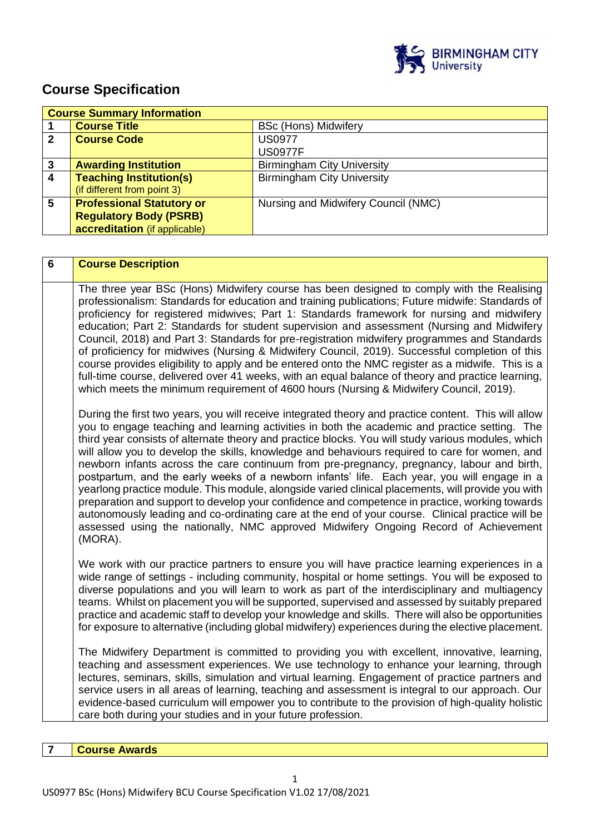

# **Course Specification**

|                | <b>Course Summary Information</b> |                                     |
|----------------|-----------------------------------|-------------------------------------|
|                | <b>Course Title</b>               | <b>BSc (Hons) Midwifery</b>         |
| $\mathbf 2$    | <b>Course Code</b>                | <b>US0977</b>                       |
|                |                                   | <b>US0977F</b>                      |
| 3              | <b>Awarding Institution</b>       | <b>Birmingham City University</b>   |
| $\overline{4}$ | <b>Teaching Institution(s)</b>    | <b>Birmingham City University</b>   |
|                | (if different from point 3)       |                                     |
| 5              | <b>Professional Statutory or</b>  | Nursing and Midwifery Council (NMC) |
|                | <b>Regulatory Body (PSRB)</b>     |                                     |
|                | accreditation (if applicable)     |                                     |

| 6 | <b>Course Description</b>                                                                                                                                                                                                                                                                                                                                                                                                                                                                                                                                                                                                                                                                                                                                                                                                                                                                                                                                                                                                |
|---|--------------------------------------------------------------------------------------------------------------------------------------------------------------------------------------------------------------------------------------------------------------------------------------------------------------------------------------------------------------------------------------------------------------------------------------------------------------------------------------------------------------------------------------------------------------------------------------------------------------------------------------------------------------------------------------------------------------------------------------------------------------------------------------------------------------------------------------------------------------------------------------------------------------------------------------------------------------------------------------------------------------------------|
|   | The three year BSc (Hons) Midwifery course has been designed to comply with the Realising<br>professionalism: Standards for education and training publications; Future midwife: Standards of<br>proficiency for registered midwives; Part 1: Standards framework for nursing and midwifery<br>education; Part 2: Standards for student supervision and assessment (Nursing and Midwifery<br>Council, 2018) and Part 3: Standards for pre-registration midwifery programmes and Standards<br>of proficiency for midwives (Nursing & Midwifery Council, 2019). Successful completion of this<br>course provides eligibility to apply and be entered onto the NMC register as a midwife. This is a<br>full-time course, delivered over 41 weeks, with an equal balance of theory and practice learning,<br>which meets the minimum requirement of 4600 hours (Nursing & Midwifery Council, 2019).                                                                                                                          |
|   | During the first two years, you will receive integrated theory and practice content. This will allow<br>you to engage teaching and learning activities in both the academic and practice setting. The<br>third year consists of alternate theory and practice blocks. You will study various modules, which<br>will allow you to develop the skills, knowledge and behaviours required to care for women, and<br>newborn infants across the care continuum from pre-pregnancy, pregnancy, labour and birth,<br>postpartum, and the early weeks of a newborn infants' life. Each year, you will engage in a<br>yearlong practice module. This module, alongside varied clinical placements, will provide you with<br>preparation and support to develop your confidence and competence in practice, working towards<br>autonomously leading and co-ordinating care at the end of your course. Clinical practice will be<br>assessed using the nationally, NMC approved Midwifery Ongoing Record of Achievement<br>(MORA). |
|   | We work with our practice partners to ensure you will have practice learning experiences in a<br>wide range of settings - including community, hospital or home settings. You will be exposed to<br>diverse populations and you will learn to work as part of the interdisciplinary and multiagency<br>teams. Whilst on placement you will be supported, supervised and assessed by suitably prepared<br>practice and academic staff to develop your knowledge and skills. There will also be opportunities<br>for exposure to alternative (including global midwifery) experiences during the elective placement.                                                                                                                                                                                                                                                                                                                                                                                                       |
|   | The Midwifery Department is committed to providing you with excellent, innovative, learning,<br>teaching and assessment experiences. We use technology to enhance your learning, through<br>lectures, seminars, skills, simulation and virtual learning. Engagement of practice partners and<br>service users in all areas of learning, teaching and assessment is integral to our approach. Our<br>evidence-based curriculum will empower you to contribute to the provision of high-quality holistic<br>care both during your studies and in your future profession.                                                                                                                                                                                                                                                                                                                                                                                                                                                   |

**7 Course Awards**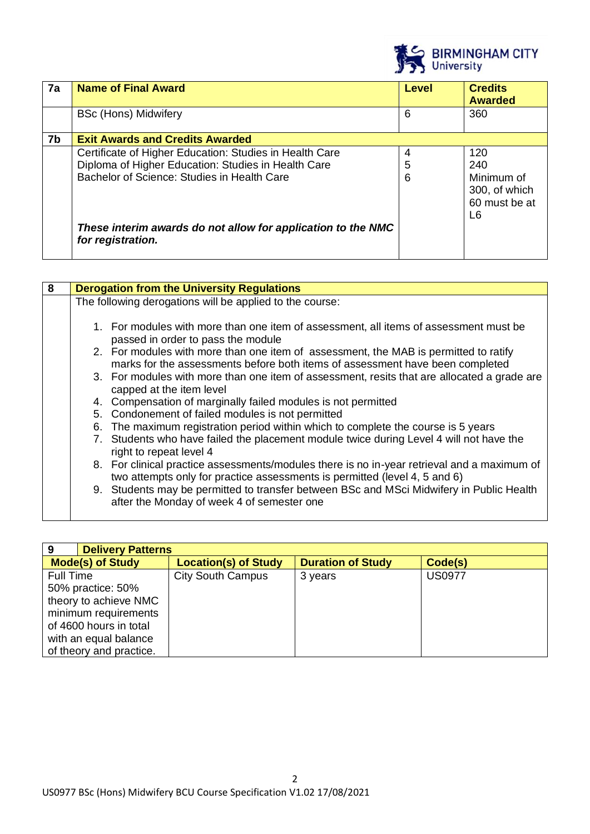

| 7a | <b>Name of Final Award</b>                                                                                                                                    | <b>Level</b> | <b>Credits</b><br><b>Awarded</b>                                 |
|----|---------------------------------------------------------------------------------------------------------------------------------------------------------------|--------------|------------------------------------------------------------------|
|    | <b>BSc (Hons) Midwifery</b>                                                                                                                                   | 6            | 360                                                              |
| 7b | <b>Exit Awards and Credits Awarded</b>                                                                                                                        |              |                                                                  |
|    | Certificate of Higher Education: Studies in Health Care<br>Diploma of Higher Education: Studies in Health Care<br>Bachelor of Science: Studies in Health Care | 4<br>5<br>6  | 120<br>240<br>Minimum of<br>300, of which<br>60 must be at<br>L6 |
|    | These interim awards do not allow for application to the NMC<br>for registration.                                                                             |              |                                                                  |

| 8 |    | <b>Derogation from the University Regulations</b>                                                                                                                         |
|---|----|---------------------------------------------------------------------------------------------------------------------------------------------------------------------------|
|   |    | The following derogations will be applied to the course:                                                                                                                  |
|   |    |                                                                                                                                                                           |
|   |    | 1. For modules with more than one item of assessment, all items of assessment must be<br>passed in order to pass the module                                               |
|   |    | 2. For modules with more than one item of assessment, the MAB is permitted to ratify<br>marks for the assessments before both items of assessment have been completed     |
|   |    | 3. For modules with more than one item of assessment, resits that are allocated a grade are<br>capped at the item level                                                   |
|   |    | 4. Compensation of marginally failed modules is not permitted                                                                                                             |
|   |    | 5. Condonement of failed modules is not permitted                                                                                                                         |
|   | 6. | The maximum registration period within which to complete the course is 5 years                                                                                            |
|   |    | 7. Students who have failed the placement module twice during Level 4 will not have the<br>right to repeat level 4                                                        |
|   |    | 8. For clinical practice assessments/modules there is no in-year retrieval and a maximum of<br>two attempts only for practice assessments is permitted (level 4, 5 and 6) |
|   |    | 9. Students may be permitted to transfer between BSc and MSci Midwifery in Public Health<br>after the Monday of week 4 of semester one                                    |

| 9                       | <b>Delivery Patterns</b> |                             |                          |               |
|-------------------------|--------------------------|-----------------------------|--------------------------|---------------|
| <b>Mode(s) of Study</b> |                          | <b>Location(s) of Study</b> | <b>Duration of Study</b> | Code(s)       |
| <b>Full Time</b>        |                          | <b>City South Campus</b>    | 3 years                  | <b>US0977</b> |
|                         | 50% practice: 50%        |                             |                          |               |
|                         | theory to achieve NMC    |                             |                          |               |
| minimum requirements    |                          |                             |                          |               |
|                         | of 4600 hours in total   |                             |                          |               |
|                         | with an equal balance    |                             |                          |               |
|                         | of theory and practice.  |                             |                          |               |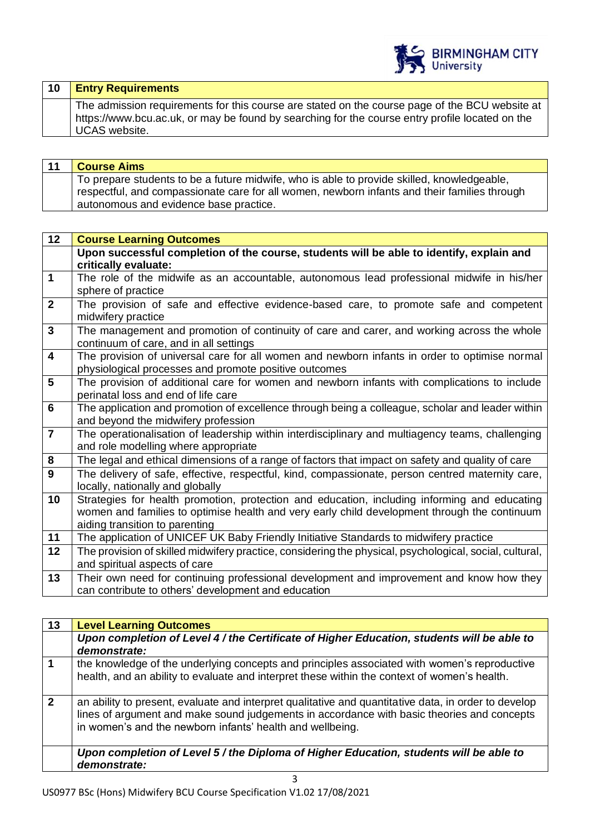

| $ 10\rangle$ | <b>Entry Requirements</b>                                                                                                                                                                                                 |
|--------------|---------------------------------------------------------------------------------------------------------------------------------------------------------------------------------------------------------------------------|
|              | The admission requirements for this course are stated on the course page of the BCU website at<br>https://www.bcu.ac.uk, or may be found by searching for the course entry profile located on the<br><b>UCAS</b> website. |

| 11 | <b>Course Aims</b>                                                                           |
|----|----------------------------------------------------------------------------------------------|
|    | To prepare students to be a future midwife, who is able to provide skilled, knowledgeable,   |
|    | respectful, and compassionate care for all women, newborn infants and their families through |
|    | autonomous and evidence base practice.                                                       |

| 12                      | <b>Course Learning Outcomes</b>                                                                         |
|-------------------------|---------------------------------------------------------------------------------------------------------|
|                         | Upon successful completion of the course, students will be able to identify, explain and                |
|                         | critically evaluate:                                                                                    |
| $\mathbf 1$             | The role of the midwife as an accountable, autonomous lead professional midwife in his/her              |
|                         | sphere of practice                                                                                      |
| $\overline{2}$          | The provision of safe and effective evidence-based care, to promote safe and competent                  |
|                         | midwifery practice                                                                                      |
| $\mathbf{3}$            | The management and promotion of continuity of care and carer, and working across the whole              |
|                         | continuum of care, and in all settings                                                                  |
| $\overline{\mathbf{4}}$ | The provision of universal care for all women and newborn infants in order to optimise normal           |
|                         | physiological processes and promote positive outcomes                                                   |
| 5                       | The provision of additional care for women and newborn infants with complications to include            |
|                         | perinatal loss and end of life care                                                                     |
| $6\phantom{1}6$         | The application and promotion of excellence through being a colleague, scholar and leader within        |
|                         | and beyond the midwifery profession                                                                     |
| $\overline{7}$          | The operationalisation of leadership within interdisciplinary and multiagency teams, challenging        |
|                         | and role modelling where appropriate                                                                    |
| 8                       | The legal and ethical dimensions of a range of factors that impact on safety and quality of care        |
| 9                       | The delivery of safe, effective, respectful, kind, compassionate, person centred maternity care,        |
|                         | locally, nationally and globally                                                                        |
| 10                      | Strategies for health promotion, protection and education, including informing and educating            |
|                         | women and families to optimise health and very early child development through the continuum            |
|                         | aiding transition to parenting                                                                          |
| 11                      | The application of UNICEF UK Baby Friendly Initiative Standards to midwifery practice                   |
| 12                      | The provision of skilled midwifery practice, considering the physical, psychological, social, cultural, |
|                         | and spiritual aspects of care                                                                           |
| 13                      | Their own need for continuing professional development and improvement and know how they                |
|                         | can contribute to others' development and education                                                     |

| 13             | <b>Level Learning Outcomes</b>                                                                                                                                                                                                                                  |
|----------------|-----------------------------------------------------------------------------------------------------------------------------------------------------------------------------------------------------------------------------------------------------------------|
|                | Upon completion of Level 4 / the Certificate of Higher Education, students will be able to<br>demonstrate:                                                                                                                                                      |
|                | the knowledge of the underlying concepts and principles associated with women's reproductive<br>health, and an ability to evaluate and interpret these within the context of women's health.                                                                    |
| $\overline{2}$ | an ability to present, evaluate and interpret qualitative and quantitative data, in order to develop<br>lines of argument and make sound judgements in accordance with basic theories and concepts<br>in women's and the newborn infants' health and wellbeing. |
|                | Upon completion of Level 5 / the Diploma of Higher Education, students will be able to<br>demonstrate:                                                                                                                                                          |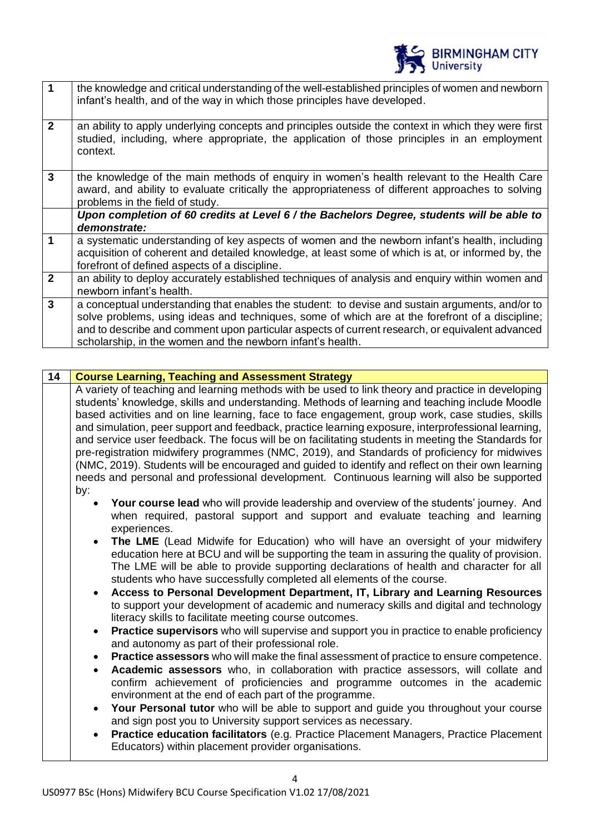

|                | the knowledge and critical understanding of the well-established principles of women and newborn<br>infant's health, and of the way in which those principles have developed.                                                                                                                                                                                       |
|----------------|---------------------------------------------------------------------------------------------------------------------------------------------------------------------------------------------------------------------------------------------------------------------------------------------------------------------------------------------------------------------|
| $\overline{2}$ | an ability to apply underlying concepts and principles outside the context in which they were first<br>studied, including, where appropriate, the application of those principles in an employment<br>context.                                                                                                                                                      |
| $\overline{3}$ | the knowledge of the main methods of enquiry in women's health relevant to the Health Care<br>award, and ability to evaluate critically the appropriateness of different approaches to solving<br>problems in the field of study.                                                                                                                                   |
|                | Upon completion of 60 credits at Level 6 / the Bachelors Degree, students will be able to                                                                                                                                                                                                                                                                           |
|                | demonstrate:                                                                                                                                                                                                                                                                                                                                                        |
| 1              | a systematic understanding of key aspects of women and the newborn infant's health, including<br>acquisition of coherent and detailed knowledge, at least some of which is at, or informed by, the<br>forefront of defined aspects of a discipline.                                                                                                                 |
| $\overline{2}$ | an ability to deploy accurately established techniques of analysis and enquiry within women and<br>newborn infant's health.                                                                                                                                                                                                                                         |
| $\overline{3}$ | a conceptual understanding that enables the student: to devise and sustain arguments, and/or to<br>solve problems, using ideas and techniques, some of which are at the forefront of a discipline;<br>and to describe and comment upon particular aspects of current research, or equivalent advanced<br>scholarship, in the women and the newborn infant's health. |

#### **14 Course Learning, Teaching and Assessment Strategy**

A variety of teaching and learning methods with be used to link theory and practice in developing students' knowledge, skills and understanding. Methods of learning and teaching include Moodle based activities and on line learning, face to face engagement, group work, case studies, skills and simulation, peer support and feedback, practice learning exposure, interprofessional learning, and service user feedback. The focus will be on facilitating students in meeting the Standards for pre-registration midwifery programmes (NMC, 2019), and Standards of proficiency for midwives (NMC, 2019). Students will be encouraged and guided to identify and reflect on their own learning needs and personal and professional development. Continuous learning will also be supported by:

- **Your course lead** who will provide leadership and overview of the students' journey. And when required, pastoral support and support and evaluate teaching and learning experiences.
- **The LME** (Lead Midwife for Education) who will have an oversight of your midwifery education here at BCU and will be supporting the team in assuring the quality of provision. The LME will be able to provide supporting declarations of health and character for all students who have successfully completed all elements of the course.
- **Access to Personal Development Department, IT, Library and Learning Resources** to support your development of academic and numeracy skills and digital and technology literacy skills to facilitate meeting course outcomes.
- **Practice supervisors** who will supervise and support you in practice to enable proficiency and autonomy as part of their professional role.
- **Practice assessors** who will make the final assessment of practice to ensure competence.
- **Academic assessors** who, in collaboration with practice assessors, will collate and confirm achievement of proficiencies and programme outcomes in the academic environment at the end of each part of the programme.
- **Your Personal tutor** who will be able to support and guide you throughout your course and sign post you to University support services as necessary.
- **Practice education facilitators** (e.g. Practice Placement Managers, Practice Placement Educators) within placement provider organisations.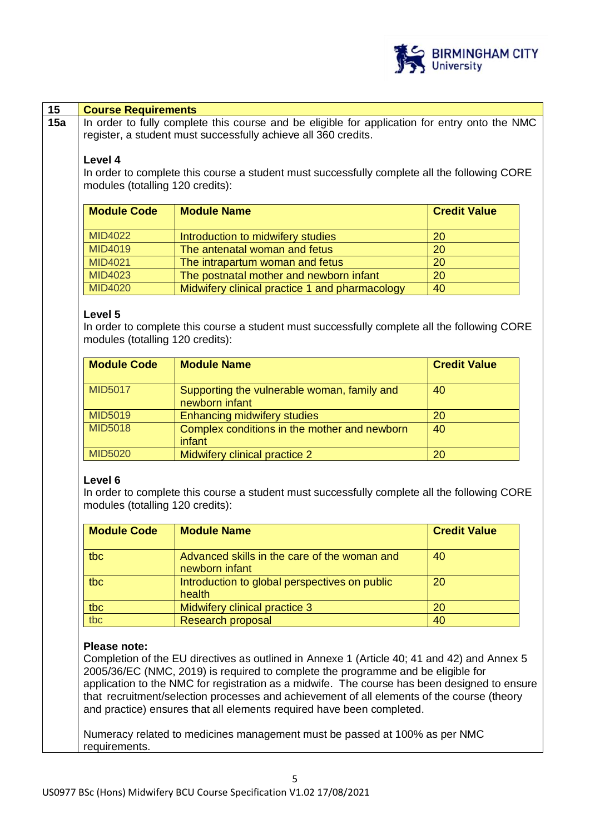

| <b>Course Requirements</b>                                                                   |                                                                                               |                     |  |  |
|----------------------------------------------------------------------------------------------|-----------------------------------------------------------------------------------------------|---------------------|--|--|
|                                                                                              | In order to fully complete this course and be eligible for application for entry onto the NMC |                     |  |  |
|                                                                                              | register, a student must successfully achieve all 360 credits.                                |                     |  |  |
| Level 4                                                                                      |                                                                                               |                     |  |  |
| In order to complete this course a student must successfully complete all the following CORE |                                                                                               |                     |  |  |
| modules (totalling 120 credits):                                                             |                                                                                               |                     |  |  |
|                                                                                              |                                                                                               |                     |  |  |
| <b>Module Code</b>                                                                           | <b>Module Name</b>                                                                            | <b>Credit Value</b> |  |  |
| <b>MID4022</b>                                                                               | Introduction to midwifery studies                                                             | 20                  |  |  |
| MID4019                                                                                      | The antenatal woman and fetus                                                                 | 20                  |  |  |
| <b>MID4021</b>                                                                               | The intrapartum woman and fetus                                                               | 20                  |  |  |
| MID4023                                                                                      | The postnatal mother and newborn infant                                                       | 20                  |  |  |
| <b>MID4020</b>                                                                               | Midwifery clinical practice 1 and pharmacology                                                | 40                  |  |  |
|                                                                                              |                                                                                               |                     |  |  |
| <b>Module Code</b>                                                                           | <b>Module Name</b>                                                                            | <b>Credit Value</b> |  |  |
|                                                                                              |                                                                                               |                     |  |  |
|                                                                                              |                                                                                               |                     |  |  |
|                                                                                              | Supporting the vulnerable woman, family and<br>newborn infant                                 | 40                  |  |  |
| <b>MID5017</b><br><b>MID5019</b>                                                             | <b>Enhancing midwifery studies</b>                                                            | 20                  |  |  |
| <b>MID5018</b>                                                                               | Complex conditions in the mother and newborn                                                  | 40                  |  |  |
|                                                                                              | infant                                                                                        |                     |  |  |
| <b>MID5020</b><br>Level 6                                                                    | Midwifery clinical practice 2                                                                 | 20                  |  |  |
| modules (totalling 120 credits):                                                             | In order to complete this course a student must successfully complete all the following CORE  |                     |  |  |
| <b>Module Code</b>                                                                           | <b>Module Name</b>                                                                            | <b>Credit Value</b> |  |  |
| tbc                                                                                          | Advanced skills in the care of the woman and<br>newborn infant                                | 40                  |  |  |
| tbc                                                                                          | Introduction to global perspectives on public<br>health                                       | 20                  |  |  |
| tbc                                                                                          | Midwifery clinical practice 3                                                                 | 20                  |  |  |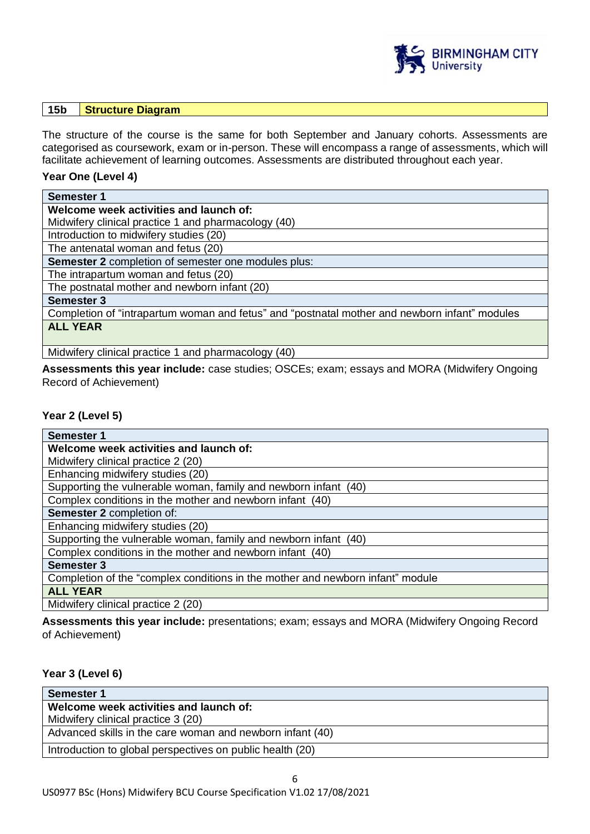

#### **15b Structure Diagram**

The structure of the course is the same for both September and January cohorts. Assessments are categorised as coursework, exam or in-person. These will encompass a range of assessments, which will facilitate achievement of learning outcomes. Assessments are distributed throughout each year.

#### **Year One (Level 4)**

| <b>Semester 1</b>                                                                             |
|-----------------------------------------------------------------------------------------------|
| Welcome week activities and launch of:                                                        |
| Midwifery clinical practice 1 and pharmacology (40)                                           |
| Introduction to midwifery studies (20)                                                        |
| The antenatal woman and fetus (20)                                                            |
| <b>Semester 2</b> completion of semester one modules plus:                                    |
| The intrapartum woman and fetus (20)                                                          |
| The postnatal mother and newborn infant (20)                                                  |
| <b>Semester 3</b>                                                                             |
| Completion of "intrapartum woman and fetus" and "postnatal mother and newborn infant" modules |
| <b>ALL YEAR</b>                                                                               |
| Midwifery clinical practice 1 and pharmacology (40)                                           |

Midwifery clinical practice 1 and pharmacology (40)

**Assessments this year include:** case studies; OSCEs; exam; essays and MORA (Midwifery Ongoing Record of Achievement)

#### **Year 2 (Level 5)**

| <b>Semester 1</b>                                                              |
|--------------------------------------------------------------------------------|
| Welcome week activities and launch of:                                         |
| Midwifery clinical practice 2 (20)                                             |
| Enhancing midwifery studies (20)                                               |
| Supporting the vulnerable woman, family and newborn infant (40)                |
| Complex conditions in the mother and newborn infant (40)                       |
| Semester 2 completion of:                                                      |
| Enhancing midwifery studies (20)                                               |
| Supporting the vulnerable woman, family and newborn infant (40)                |
| Complex conditions in the mother and newborn infant (40)                       |
| <b>Semester 3</b>                                                              |
| Completion of the "complex conditions in the mother and newborn infant" module |
| <b>ALL YEAR</b>                                                                |
| Midwifery clinical practice 2 (20)                                             |

**Assessments this year include:** presentations; exam; essays and MORA (Midwifery Ongoing Record of Achievement)

#### **Year 3 (Level 6)**

| <b>Semester 1</b>                                         |
|-----------------------------------------------------------|
| Welcome week activities and launch of:                    |
| Midwifery clinical practice 3 (20)                        |
| Advanced skills in the care woman and newborn infant (40) |
| Introduction to global perspectives on public health (20) |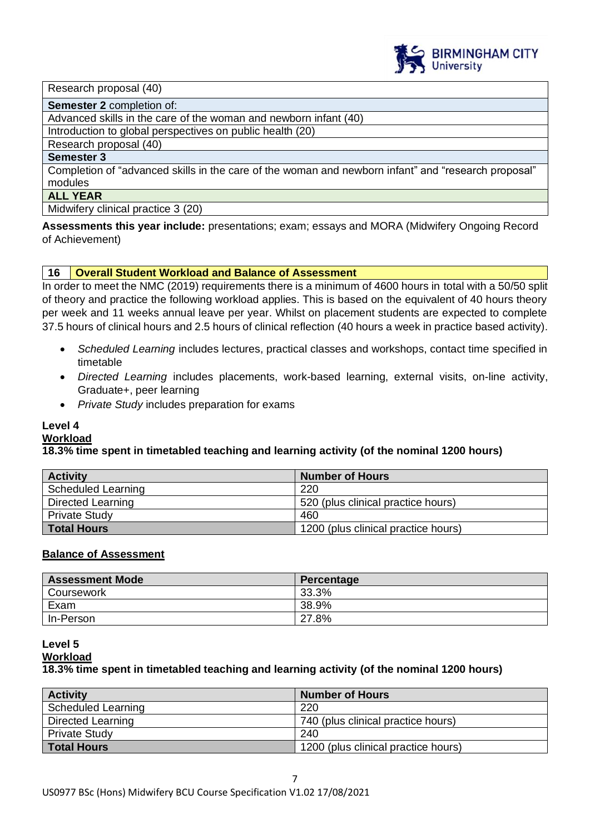

Research proposal (40)

**Semester 2** completion of:

Advanced skills in the care of the woman and newborn infant (40)

Introduction to global perspectives on public health (20)

Research proposal (40)

#### **Semester 3**

Completion of "advanced skills in the care of the woman and newborn infant" and "research proposal" modules

#### **ALL YEAR**

Midwifery clinical practice 3 (20)

**Assessments this year include:** presentations; exam; essays and MORA (Midwifery Ongoing Record of Achievement)

#### **16 Overall Student Workload and Balance of Assessment**

In order to meet the NMC (2019) requirements there is a minimum of 4600 hours in total with a 50/50 split of theory and practice the following workload applies. This is based on the equivalent of 40 hours theory per week and 11 weeks annual leave per year. Whilst on placement students are expected to complete 37.5 hours of clinical hours and 2.5 hours of clinical reflection (40 hours a week in practice based activity).

- *Scheduled Learning* includes lectures, practical classes and workshops, contact time specified in timetable
- *Directed Learning* includes placements, work-based learning, external visits, on-line activity, Graduate+, peer learning
- *Private Study* includes preparation for exams

#### **Level 4**

#### **Workload**

#### **18.3% time spent in timetabled teaching and learning activity (of the nominal 1200 hours)**

| <b>Activity</b>           | <b>Number of Hours</b>              |
|---------------------------|-------------------------------------|
| <b>Scheduled Learning</b> | 220                                 |
| Directed Learning         | 520 (plus clinical practice hours)  |
| <b>Private Study</b>      | 460                                 |
| Total Hours               | 1200 (plus clinical practice hours) |

#### **Balance of Assessment**

| <b>Assessment Mode</b> | Percentage |
|------------------------|------------|
| Coursework             | 33.3%      |
| Exam                   | 38.9%      |
| In-Person              | 27.8%      |

#### **Level 5 Workload 18.3% time spent in timetabled teaching and learning activity (of the nominal 1200 hours)**

| <b>Activity</b>           | <b>Number of Hours</b>              |
|---------------------------|-------------------------------------|
| <b>Scheduled Learning</b> | 220                                 |
| Directed Learning         | 740 (plus clinical practice hours)  |
| <b>Private Study</b>      | 240                                 |
| <b>Total Hours</b>        | 1200 (plus clinical practice hours) |